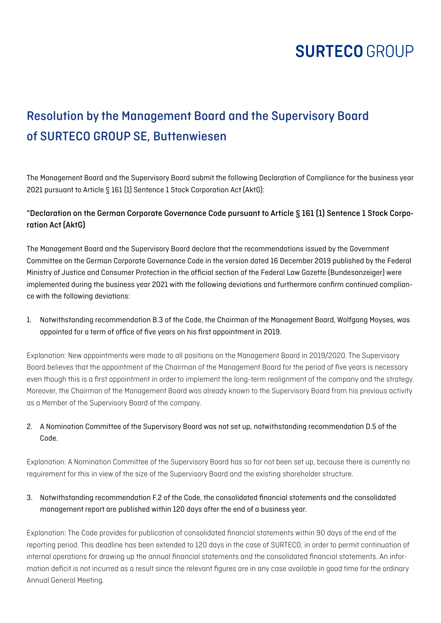## Resolution by the Management Board and the Supervisory Board of SURTECO GROUP SE, Buttenwiesen

The Management Board and the Supervisory Board submit the following Declaration of Compliance for the business year 2021 pursuant to Article § 161 (1) Sentence 1 Stock Corporation Act (AktG):

### "Declaration on the German Corporate Governance Code pursuant to Article § 161 (1) Sentence 1 Stock Corporation Act (AktG)

The Management Board and the Supervisory Board declare that the recommendations issued by the Government Committee on the German Corporate Governance Code in the version dated 16 December 2019 published by the Federal Ministry of Justice and Consumer Protection in the official section of the Federal Law Gazette (Bundesanzeiger) were implemented during the business year 2021 with the following deviations and furthermore confirm continued compliance with the following deviations:

1. Notwithstanding recommendation B.3 of the Code, the Chairman of the Management Board, Wolfgang Moyses, was appointed for a term of office of five years on his first appointment in 2019.

Explanation: New appointments were made to all positions on the Management Board in 2019/2020. The Supervisory Board believes that the appointment of the Chairman of the Management Board for the period of five years is necessary even though this is a first appointment in order to implement the long-term realignment of the company and the strategy. Moreover, the Chairman of the Management Board was already known to the Supervisory Board from his previous activity as a Member of the Supervisory Board of the company.

### 2. A Nomination Committee of the Supervisory Board was not set up, notwithstanding recommendation D.5 of the Code.

Explanation: A Nomination Committee of the Supervisory Board has so far not been set up, because there is currently no requirement for this in view of the size of the Supervisory Board and the existing shareholder structure.

#### 3. Notwithstanding recommendation F.2 of the Code, the consolidated financial statements and the consolidated management report are published within 120 days after the end of a business year.

Explanation: The Code provides for publication of consolidated financial statements within 90 days of the end of the reporting period. This deadline has been extended to 120 days in the case of SURTECO, in order to permit continuation of internal operations for drawing up the annual financial statements and the consolidated financial statements. An information deficit is not incurred as a result since the relevant figures are in any case available in good time for the ordinary Annual General Meeting.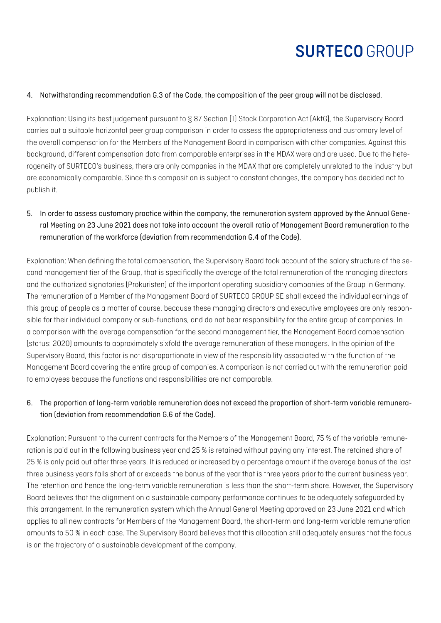#### 4. Notwithstanding recommendation G.3 of the Code, the composition of the peer group will not be disclosed.

Explanation: Using its best judgement pursuant to § 87 Section (1) Stock Corporation Act (AktG), the Supervisory Board carries out a suitable horizontal peer group comparison in order to assess the appropriateness and customary level of the overall compensation for the Members of the Management Board in comparison with other companies. Against this background, different compensation data from comparable enterprises in the MDAX were and are used. Due to the heterogeneity of SURTECO's business, there are only companies in the MDAX that are completely unrelated to the industry but are economically comparable. Since this composition is subject to constant changes, the company has decided not to publish it.

5. In order to assess customary practice within the company, the remuneration system approved by the Annual General Meeting on 23 June 2021 does not take into account the overall ratio of Management Board remuneration to the remuneration of the workforce (deviation from recommendation G.4 of the Code).

Explanation: When defining the total compensation, the Supervisory Board took account of the salary structure of the second management tier of the Group, that is specifically the average of the total remuneration of the managing directors and the authorized signatories (Prokuristen) of the important operating subsidiary companies of the Group in Germany. The remuneration of a Member of the Management Board of SURTECO GROUP SE shall exceed the individual earnings of this group of people as a matter of course, because these managing directors and executive employees are only responsible for their individual company or sub-functions, and do not bear responsibility for the entire group of companies. In a comparison with the average compensation for the second management tier, the Management Board compensation (status: 2020) amounts to approximately sixfold the average remuneration of these managers. In the opinion of the Supervisory Board, this factor is not disproportionate in view of the responsibility associated with the function of the Management Board covering the entire group of companies. A comparison is not carried out with the remuneration paid to employees because the functions and responsibilities are not comparable.

#### 6. The proportion of long-term variable remuneration does not exceed the proportion of short-term variable remuneration (deviation from recommendation G.6 of the Code).

Explanation: Pursuant to the current contracts for the Members of the Management Board, 75 % of the variable remuneration is paid out in the following business year and 25 % is retained without paying any interest. The retained share of 25 % is only paid out after three years. It is reduced or increased by a percentage amount if the average bonus of the last three business years falls short of or exceeds the bonus of the year that is three years prior to the current business year. The retention and hence the long-term variable remuneration is less than the short-term share. However, the Supervisory Board believes that the alignment on a sustainable company performance continues to be adequately safeguarded by this arrangement. In the remuneration system which the Annual General Meeting approved on 23 June 2021 and which applies to all new contracts for Members of the Management Board, the short-term and long-term variable remuneration amounts to 50 % in each case. The Supervisory Board believes that this allocation still adequately ensures that the focus is on the trajectory of a sustainable development of the company.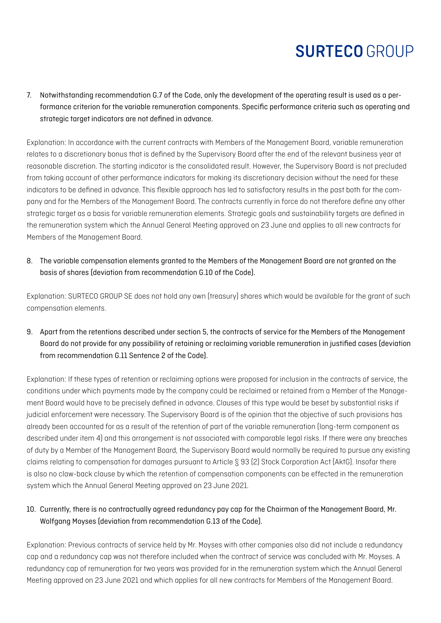7. Notwithstanding recommendation G.7 of the Code, only the development of the operating result is used as a performance criterion for the variable remuneration components. Specific performance criteria such as operating and strategic target indicators are not defined in advance.

Explanation: In accordance with the current contracts with Members of the Management Board, variable remuneration relates to a discretionary bonus that is defined by the Supervisory Board after the end of the relevant business year at reasonable discretion. The starting indicator is the consolidated result. However, the Supervisory Board is not precluded from taking account of other performance indicators for making its discretionary decision without the need for these indicators to be defined in advance. This flexible approach has led to satisfactory results in the past both for the company and for the Members of the Management Board. The contracts currently in force do not therefore define any other strategic target as a basis for variable remuneration elements. Strategic goals and sustainability targets are defined in the remuneration system which the Annual General Meeting approved on 23 June and applies to all new contracts for Members of the Management Board.

8. The variable compensation elements granted to the Members of the Management Board are not granted on the basis of shares (deviation from recommendation G.10 of the Code).

Explanation: SURTECO GROUP SE does not hold any own (treasury) shares which would be available for the grant of such compensation elements.

9. Apart from the retentions described under section 5, the contracts of service for the Members of the Management Board do not provide for any possibility of retaining or reclaiming variable remuneration in justified cases (deviation from recommendation G.11 Sentence 2 of the Code).

Explanation: If these types of retention or reclaiming options were proposed for inclusion in the contracts of service, the conditions under which payments made by the company could be reclaimed or retained from a Member of the Management Board would have to be precisely defined in advance. Clauses of this type would be beset by substantial risks if judicial enforcement were necessary. The Supervisory Board is of the opinion that the objective of such provisions has already been accounted for as a result of the retention of part of the variable remuneration (long-term component as described under item 4) and this arrangement is not associated with comparable legal risks. If there were any breaches of duty by a Member of the Management Board, the Supervisory Board would normally be required to pursue any existing claims relating to compensation for damages pursuant to Article § 93 (2) Stock Corporation Act (AktG). Insofar there is also no claw-back clause by which the retention of compensation components can be effected in the remuneration system which the Annual General Meeting approved on 23 June 2021.

### 10. Currently, there is no contractually agreed redundancy pay cap for the Chairman of the Management Board, Mr. Wolfgang Moyses (deviation from recommendation G.13 of the Code).

Explanation: Previous contracts of service held by Mr. Moyses with other companies also did not include a redundancy cap and a redundancy cap was not therefore included when the contract of service was concluded with Mr. Moyses. A redundancy cap of remuneration for two years was provided for in the remuneration system which the Annual General Meeting approved on 23 June 2021 and which applies for all new contracts for Members of the Management Board.